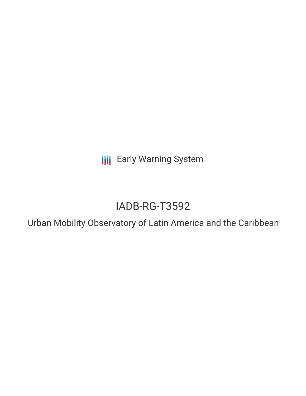**III** Early Warning System

# IADB-RG-T3592

Urban Mobility Observatory of Latin America and the Caribbean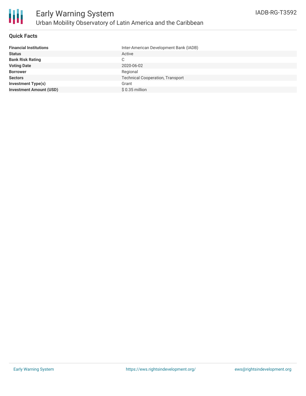## **Quick Facts**

| Inter-American Development Bank (IADB)  |
|-----------------------------------------|
| Active                                  |
| C                                       |
| 2020-06-02                              |
| Regional                                |
| <b>Technical Cooperation, Transport</b> |
| Grant                                   |
| $$0.35$ million                         |
|                                         |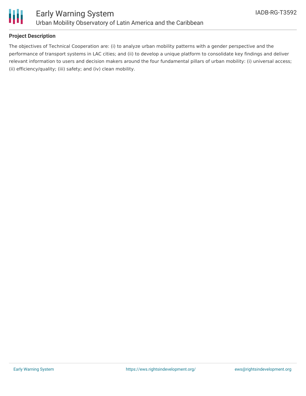

# **Project Description**

The objectives of Technical Cooperation are: (i) to analyze urban mobility patterns with a gender perspective and the performance of transport systems in LAC cities; and (ii) to develop a unique platform to consolidate key findings and deliver relevant information to users and decision makers around the four fundamental pillars of urban mobility: (i) universal access; (ii) efficiency/quality; (iii) safety; and (iv) clean mobility.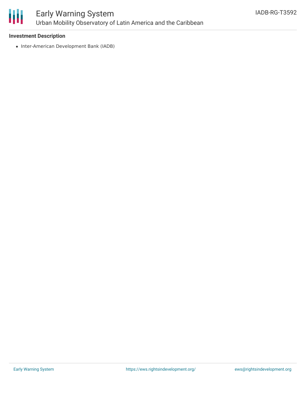

## **Investment Description**

• Inter-American Development Bank (IADB)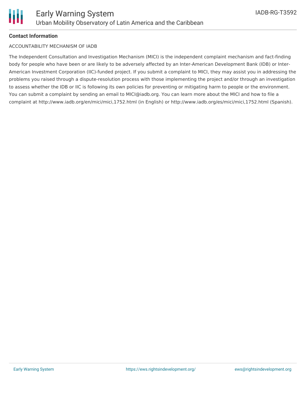# **Contact Information**

## ACCOUNTABILITY MECHANISM OF IADB

The Independent Consultation and Investigation Mechanism (MICI) is the independent complaint mechanism and fact-finding body for people who have been or are likely to be adversely affected by an Inter-American Development Bank (IDB) or Inter-American Investment Corporation (IIC)-funded project. If you submit a complaint to MICI, they may assist you in addressing the problems you raised through a dispute-resolution process with those implementing the project and/or through an investigation to assess whether the IDB or IIC is following its own policies for preventing or mitigating harm to people or the environment. You can submit a complaint by sending an email to MICI@iadb.org. You can learn more about the MICI and how to file a complaint at http://www.iadb.org/en/mici/mici,1752.html (in English) or http://www.iadb.org/es/mici/mici,1752.html (Spanish).